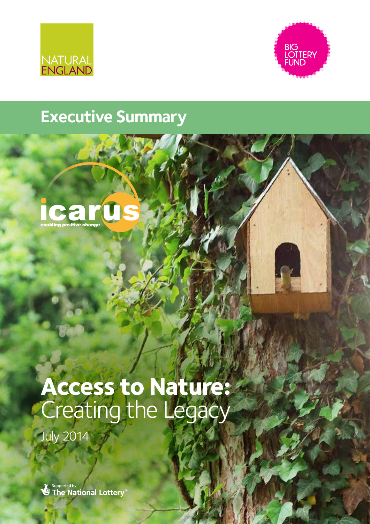



## **Executive Summary**



## **Access to Nature:**  Creating the Legacy

July 2014

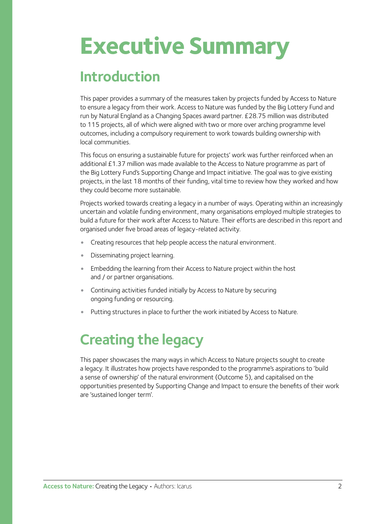# **Executive Summary**

## **Introduction**

This paper provides a summary of the measures taken by projects funded by Access to Nature to ensure a legacy from their work. Access to Nature was funded by the Big Lottery Fund and run by Natural England as a Changing Spaces award partner. £28.75 million was distributed to 115 projects, all of which were aligned with two or more over arching programme level outcomes, including a compulsory requirement to work towards building ownership with local communities.

This focus on ensuring a sustainable future for projects' work was further reinforced when an additional £1.37 million was made available to the Access to Nature programme as part of the Big Lottery Fund's Supporting Change and Impact initiative. The goal was to give existing projects, in the last 18 months of their funding, vital time to review how they worked and how they could become more sustainable.

Projects worked towards creating a legacy in a number of ways. Operating within an increasingly uncertain and volatile funding environment, many organisations employed multiple strategies to build a future for their work after Access to Nature. Their efforts are described in this report and organised under five broad areas of legacy-related activity.

- Creating resources that help people access the natural environment.
- Disseminating project learning.
- Embedding the learning from their Access to Nature project within the host and / or partner organisations.
- Continuing activities funded initially by Access to Nature by securing ongoing funding or resourcing.
- Putting structures in place to further the work initiated by Access to Nature.

## **Creating the legacy**

This paper showcases the many ways in which Access to Nature projects sought to create a legacy. It illustrates how projects have responded to the programme's aspirations to 'build a sense of ownership' of the natural environment (Outcome 5), and capitalised on the opportunities presented by Supporting Change and Impact to ensure the benefits of their work are 'sustained longer term'.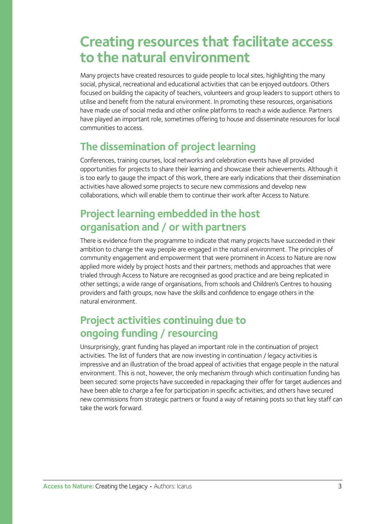### **Creating resources that facilitate access to the natural environment**

Many projects have created resources to guide people to local sites, highlighting the many social, physical, recreational and educational activities that can be enjoyed outdoors. Others focused on building the capacity of teachers, volunteers and group leaders to support others to utilise and benefit from the natural environment. In promoting these resources, organisations have made use of social media and other online platforms to reach a wide audience. Partners have played an important role, sometimes offering to house and disseminate resources for local communities to access.

#### **The dissemination of project learning**

Conferences, training courses, local networks and celebration events have all provided opportunities for projects to share their learning and showcase their achievements. Although it is too early to gauge the impact of this work, there are early indications that their dissemination activities have allowed some projects to secure new commissions and develop new collaborations, which will enable them to continue their work after Access to Nature.

#### **Project learning embedded in the host organisation and / or with partners**

There is evidence from the programme to indicate that many projects have succeeded in their ambition to change the way people are engaged in the natural environment. The principles of community engagement and empowerment that were prominent in Access to Nature are now applied more widely by project hosts and their partners; methods and approaches that were trialed through Access to Nature are recognised as good practice and are being replicated in other settings; a wide range of organisations, from schools and Children's Centres to housing providers and faith groups, now have the skills and confidence to engage others in the natural environment.

#### **Project activities continuing due to ongoing funding / resourcing**

Unsurprisingly, grant funding has played an important role in the continuation of project activities. The list of funders that are now investing in continuation / legacy activities is impressive and an illustration of the broad appeal of activities that engage people in the natural environment. This is not, however, the only mechanism through which continuation funding has been secured: some projects have succeeded in repackaging their offer for target audiences and have been able to charge a fee for participation in specific activities; and others have secured new commissions from strategic partners or found a way of retaining posts so that key staff can take the work forward.